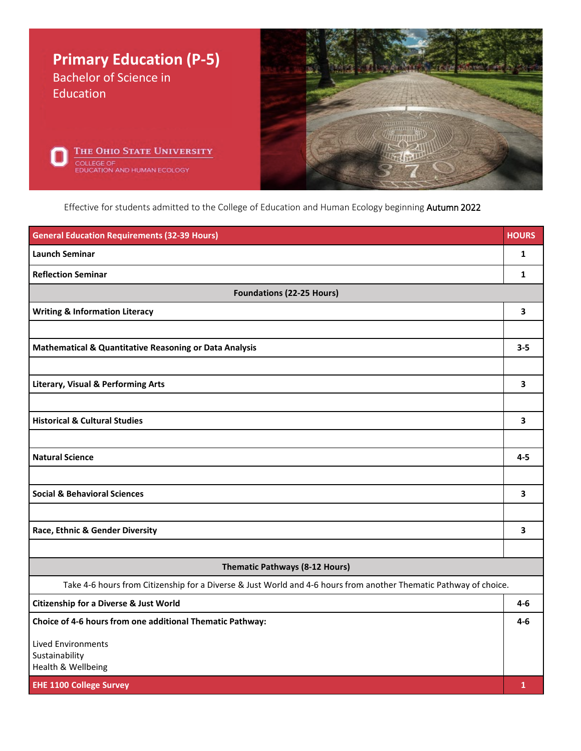

Effective for students admitted to the College of Education and Human Ecology beginning Autumn 2022

| <b>General Education Requirements (32-39 Hours)</b>                                                               | <b>HOURS</b> |
|-------------------------------------------------------------------------------------------------------------------|--------------|
| <b>Launch Seminar</b>                                                                                             | $\mathbf{1}$ |
| <b>Reflection Seminar</b>                                                                                         | $\mathbf{1}$ |
| <b>Foundations (22-25 Hours)</b>                                                                                  |              |
| <b>Writing &amp; Information Literacy</b>                                                                         | 3            |
|                                                                                                                   |              |
| Mathematical & Quantitative Reasoning or Data Analysis                                                            | $3 - 5$      |
|                                                                                                                   |              |
| <b>Literary, Visual &amp; Performing Arts</b>                                                                     | 3            |
|                                                                                                                   |              |
| <b>Historical &amp; Cultural Studies</b>                                                                          | 3            |
|                                                                                                                   |              |
| <b>Natural Science</b>                                                                                            | $4 - 5$      |
|                                                                                                                   |              |
| <b>Social &amp; Behavioral Sciences</b>                                                                           | 3            |
|                                                                                                                   |              |
| Race, Ethnic & Gender Diversity                                                                                   | 3            |
|                                                                                                                   |              |
| Thematic Pathways (8-12 Hours)                                                                                    |              |
| Take 4-6 hours from Citizenship for a Diverse & Just World and 4-6 hours from another Thematic Pathway of choice. |              |
| Citizenship for a Diverse & Just World                                                                            | $4 - 6$      |
| Choice of 4-6 hours from one additional Thematic Pathway:                                                         | 4-6          |
| <b>Lived Environments</b>                                                                                         |              |
| Sustainability<br>Health & Wellbeing                                                                              |              |
| <b>EHE 1100 College Survey</b>                                                                                    | $\mathbf{1}$ |